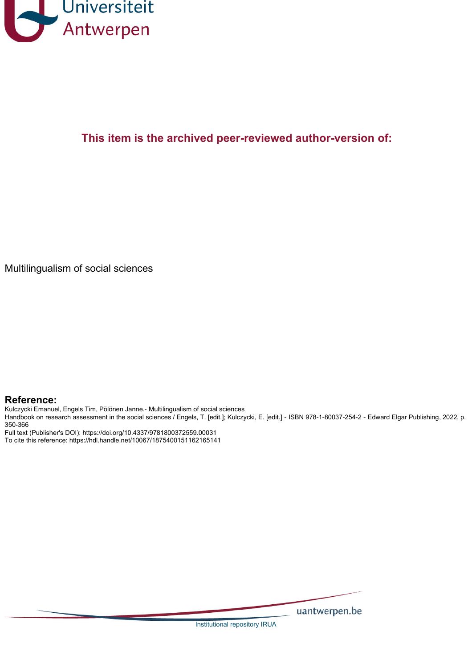

## **This item is the archived peer-reviewed author-version of:**

Multilingualism of social sciences

#### **Reference:**

Kulczycki Emanuel, Engels Tim, Pölönen Janne.- Multilingualism of social sciences

Handbook on research assessment in the social sciences / Engels, T. [edit.]; Kulczycki, E. [edit.] - ISBN 978-1-80037-254-2 - Edward Elgar Publishing, 2022, p. 350-366

Full text (Publisher's DOI): https://doi.org/10.4337/9781800372559.00031 To cite this reference: https://hdl.handle.net/10067/1875400151162165141

uantwerpen.be

Institutional repository IRUA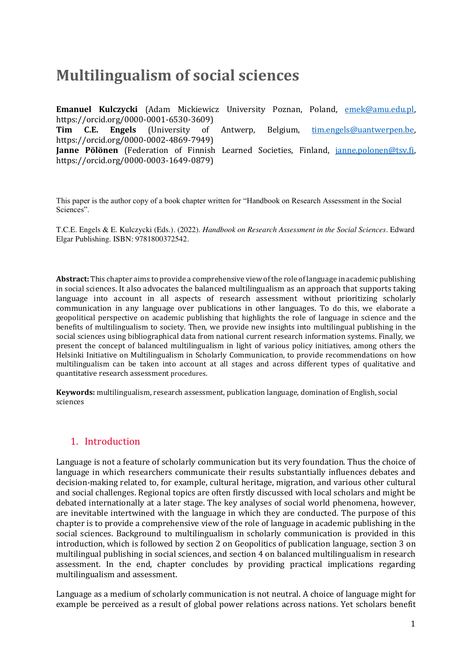# **Multilingualism of social sciences**

**Emanuel Kulczycki** (Adam Mickiewicz University Poznan, Poland, [emek@amu.edu.pl,](mailto:emek@amu.edu.pl) https://orcid.org/0000-0001-6530-3609)<br> **Tim C.E. Engels** (University of **Tim C.E. Engels** (University of Antwerp, Belgium, [tim.engels@uantwerpen.be,](mailto:tim.engels@uantwerpen.be) https://orcid.org/0000-0002-4869-7949) **Janne Pölönen** (Federation of Finnish Learned Societies, Finland, [janne.polonen@tsv.fi,](mailto:janne.polonen@tsv.fi) https://orcid.org/0000-0003-1649-0879)

This paper is the author copy of a book chapter written for "Handbook on Research Assessment in the Social Sciences".

T.C.E. Engels & E. Kulczycki (Eds.). (2022). *Handbook on Research Assessment in the Social Sciences*. Edward Elgar Publishing. ISBN: 9781800372542.

**Abstract:** This chapter aims to provide a comprehensive view of the role of language in academic publishing in social sciences. It also advocates the balanced multilingualism as an approach that supports taking language into account in all aspects of research assessment without prioritizing scholarly communication in any language over publications in other languages. To do this, we elaborate a geopolitical perspective on academic publishing that highlights the role of language in science and the benefits of multilingualism to society. Then, we provide new insights into multilingual publishing in the social sciences using bibliographical data from national current research information systems. Finally, we present the concept of balanced multilingualism in light of various policy initiatives, among others the Helsinki Initiative on Multilingualism in Scholarly Communication, to provide recommendations on how multilingualism can be taken into account at all stages and across different types of qualitative and quantitative research assessment procedures.

**Keywords:** multilingualism, research assessment, publication language, domination of English, social sciences

#### 1. Introduction

Language is not a feature of scholarly communication but its very foundation. Thus the choice of language in which researchers communicate their results substantially influences debates and decision-making related to, for example, cultural heritage, migration, and various other cultural and social challenges. Regional topics are often firstly discussed with local scholars and might be debated internationally at a later stage. The key analyses of social world phenomena, however, are inevitable intertwined with the language in which they are conducted. The purpose of this chapter is to provide a comprehensive view of the role of language in academic publishing in the social sciences. Background to multilingualism in scholarly communication is provided in this introduction, which is followed by section 2 on Geopolitics of publication language, section 3 on multilingual publishing in social sciences, and section 4 on balanced multilingualism in research assessment. In the end, chapter concludes by providing practical implications regarding multilingualism and assessment.

Language as a medium of scholarly communication is not neutral. A choice of language might for example be perceived as a result of global power relations across nations. Yet scholars benefit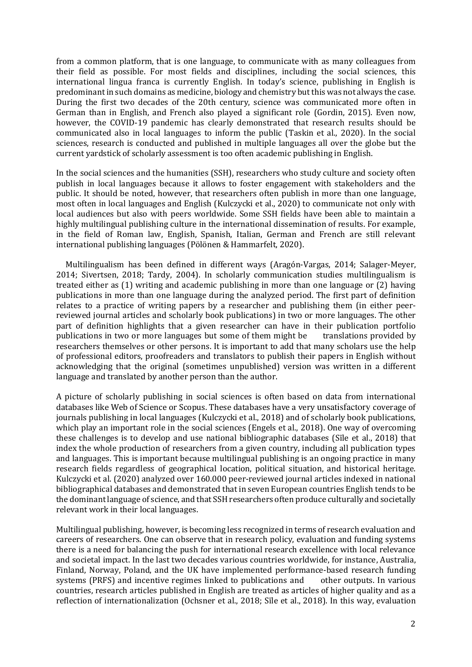from a common platform, that is one language, to communicate with as many colleagues from their field as possible. For most fields and disciplines, including the social sciences, this international lingua franca is currently English. In today's science, publishing in English is predominant in such domains as medicine, biology and chemistry but this was not always the case. During the first two decades of the 20th century, science was communicated more often in German than in English, and French also played a significant role (Gordin, 2015). Even now, however, the COVID-19 pandemic has clearly demonstrated that research results should be communicated also in local languages to inform the public (Taskin et al., 2020). In the social sciences, research is conducted and published in multiple languages all over the globe but the current yardstick of scholarly assessment is too often academic publishing in English.

In the social sciences and the humanities (SSH), researchers who study culture and society often publish in local languages because it allows to foster engagement with stakeholders and the public. It should be noted, however, that researchers often publish in more than one language, most often in local languages and English (Kulczycki et al., 2020) to communicate not only with local audiences but also with peers worldwide. Some SSH fields have been able to maintain a highly multilingual publishing culture in the international dissemination of results. For example, in the field of Roman law, English, Spanish, Italian, German and French are still relevant international publishing languages (Pölönen & Hammarfelt, 2020).

 Multilingualism has been defined in different ways (Aragón-Vargas, 2014; Salager-Meyer, 2014; Sivertsen, 2018; Tardy, 2004). In scholarly communication studies multilingualism is treated either as (1) writing and academic publishing in more than one language or (2) having publications in more than one language during the analyzed period. The first part of definition relates to a practice of writing papers by a researcher and publishing them (in either peerreviewed journal articles and scholarly book publications) in two or more languages. The other part of definition highlights that a given researcher can have in their publication portfolio publications in two or more languages but some of them might be translations provided by researchers themselves or other persons. It is important to add that many scholars use the help of professional editors, proofreaders and translators to publish their papers in English without acknowledging that the original (sometimes unpublished) version was written in a different language and translated by another person than the author.

A picture of scholarly publishing in social sciences is often based on data from international databases like Web of Science or Scopus. These databases have a very unsatisfactory coverage of journals publishing in local languages (Kulczycki et al., 2018) and of scholarly book publications, which play an important role in the social sciences (Engels et al., 2018). One way of overcoming these challenges is to develop and use national bibliographic databases (Sīle et al., 2018) that index the whole production of researchers from a given country, including all publication types and languages. This is important because multilingual publishing is an ongoing practice in many research fields regardless of geographical location, political situation, and historical heritage. Kulczycki et al. (2020) analyzed over 160.000 peer-reviewed journal articles indexed in national bibliographical databases and demonstrated that in seven European countries English tends to be the dominant language of science, and that SSH researchers often produce culturally and societally relevant work in their local languages.

Multilingual publishing, however, is becoming less recognized in terms of research evaluation and careers of researchers. One can observe that in research policy, evaluation and funding systems there is a need for balancing the push for international research excellence with local relevance and societal impact. In the last two decades various countries worldwide, for instance, Australia, Finland, Norway, Poland, and the UK have implemented performance-based research funding systems (PRFS) and incentive regimes linked to publications and other outputs. In various countries, research articles published in English are treated as articles of higher quality and as a reflection of internationalization (Ochsner et al., 2018; Sīle et al., 2018). In this way, evaluation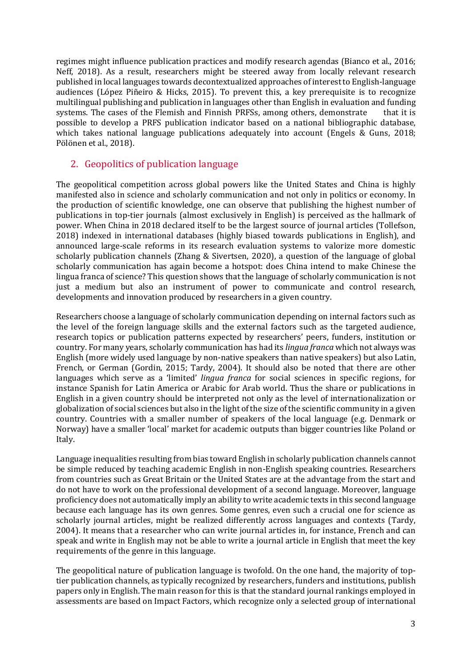regimes might influence publication practices and modify research agendas (Bianco et al., 2016; Neff, 2018). As a result, researchers might be steered away from locally relevant research published in local languages towards decontextualized approaches of interest to English-language audiences (López Piñeiro & Hicks, 2015). To prevent this, a key prerequisite is to recognize multilingual publishing and publication in languages other than English in evaluation and funding systems. The cases of the Flemish and Finnish PRFSs, among others, demonstrate that it is possible to develop a PRFS publication indicator based on a national bibliographic database, which takes national language publications adequately into account (Engels & Guns, 2018; Pölönen et al., 2018).

## 2. Geopolitics of publication language

The geopolitical competition across global powers like the United States and China is highly manifested also in science and scholarly communication and not only in politics or economy. In the production of scientific knowledge, one can observe that publishing the highest number of publications in top-tier journals (almost exclusively in English) is perceived as the hallmark of power. When China in 2018 declared itself to be the largest source of journal articles (Tollefson, 2018) indexed in international databases (highly biased towards publications in English), and announced large-scale reforms in its research evaluation systems to valorize more domestic scholarly publication channels (Zhang & Sivertsen, 2020), a question of the language of global scholarly communication has again become a hotspot: does China intend to make Chinese the lingua franca of science? This question shows that the language of scholarly communication is not just a medium but also an instrument of power to communicate and control research, developments and innovation produced by researchers in a given country.

Researchers choose a language of scholarly communication depending on internal factors such as the level of the foreign language skills and the external factors such as the targeted audience, research topics or publication patterns expected by researchers' peers, funders, institution or country. For many years, scholarly communication has had its *lingua franca* which not always was English (more widely used language by non-native speakers than native speakers) but also Latin, French, or German (Gordin, 2015; Tardy, 2004). It should also be noted that there are other languages which serve as a 'limited' *lingua franca* for social sciences in specific regions, for instance Spanish for Latin America or Arabic for Arab world. Thus the share or publications in English in a given country should be interpreted not only as the level of internationalization or globalization of social sciences but also in the light of the size of the scientific community in a given country. Countries with a smaller number of speakers of the local language (e.g. Denmark or Norway) have a smaller 'local' market for academic outputs than bigger countries like Poland or Italy.

Language inequalities resulting from bias toward English in scholarly publication channels cannot be simple reduced by teaching academic English in non-English speaking countries. Researchers from countries such as Great Britain or the United States are at the advantage from the start and do not have to work on the professional development of a second language. Moreover, language proficiency does not automatically imply an ability to write academic texts in this second language because each language has its own genres. Some genres, even such a crucial one for science as scholarly journal articles, might be realized differently across languages and contexts (Tardy, 2004). It means that a researcher who can write journal articles in, for instance, French and can speak and write in English may not be able to write a journal article in English that meet the key requirements of the genre in this language.

The geopolitical nature of publication language is twofold. On the one hand, the majority of toptier publication channels, as typically recognized by researchers, funders and institutions, publish papers only in English. The main reason for this is that the standard journal rankings employed in assessments are based on Impact Factors, which recognize only a selected group of international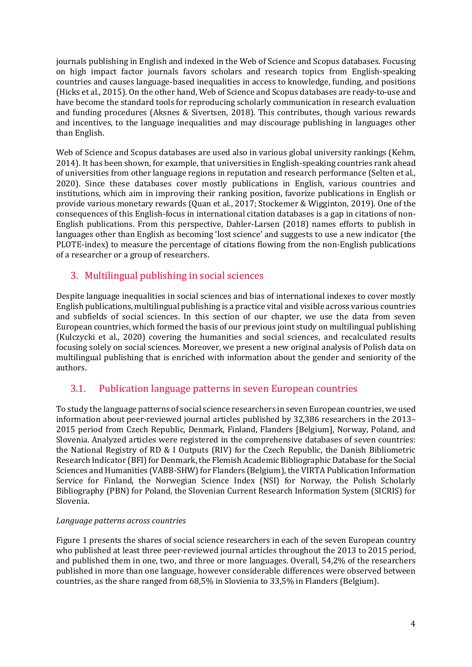journals publishing in English and indexed in the Web of Science and Scopus databases. Focusing on high impact factor journals favors scholars and research topics from English-speaking countries and causes language-based inequalities in access to knowledge, funding, and positions (Hicks et al., 2015). On the other hand, Web of Science and Scopus databases are ready-to-use and have become the standard tools for reproducing scholarly communication in research evaluation and funding procedures (Aksnes & Sivertsen, 2018). This contributes, though various rewards and incentives, to the language inequalities and may discourage publishing in languages other than English.

Web of Science and Scopus databases are used also in various global university rankings (Kehm, 2014). It has been shown, for example, that universities in English-speaking countries rank ahead of universities from other language regions in reputation and research performance (Selten et al., 2020). Since these databases cover mostly publications in English, various countries and institutions, which aim in improving their ranking position, favorize publications in English or provide various monetary rewards (Quan et al., 2017; Stockemer & Wigginton, 2019). One of the consequences of this English-focus in international citation databases is a gap in citations of non-English publications. From this perspective, Dahler-Larsen (2018) names efforts to publish in languages other than English as becoming 'lost science' and suggests to use a new indicator (the PLOTE-index) to measure the percentage of citations flowing from the non-English publications of a researcher or a group of researchers.

## 3. Multilingual publishing in social sciences

Despite language inequalities in social sciences and bias of international indexes to cover mostly English publications, multilingual publishing is a practice vital and visible across various countries and subfields of social sciences. In this section of our chapter, we use the data from seven European countries, which formed the basis of our previous joint study on multilingual publishing (Kulczycki et al., 2020) covering the humanities and social sciences, and recalculated results focusing solely on social sciences. Moreover, we present a new original analysis of Polish data on multilingual publishing that is enriched with information about the gender and seniority of the authors.

## 3.1. Publication language patterns in seven European countries

To study the language patterns of social science researchers in seven European countries, we used information about peer-reviewed journal articles published by 32,386 researchers in the 2013– 2015 period from Czech Republic, Denmark, Finland, Flanders [Belgium], Norway, Poland, and Slovenia. Analyzed articles were registered in the comprehensive databases of seven countries: the National Registry of RD & I Outputs (RIV) for the Czech Republic, the Danish Bibliometric Research Indicator (BFI) for Denmark, the Flemish Academic Bibliographic Database for the Social Sciences and Humanities (VABB-SHW) for Flanders (Belgium), the VIRTA Publication Information Service for Finland, the Norwegian Science Index (NSI) for Norway, the Polish Scholarly Bibliography (PBN) for Poland, the Slovenian Current Research Information System (SICRIS) for Slovenia.

#### *Language patterns across countries*

Figure 1 presents the shares of social science researchers in each of the seven European country who published at least three peer-reviewed journal articles throughout the 2013 to 2015 period, and published them in one, two, and three or more languages. Overall, 54,2% of the researchers published in more than one language, however considerable differences were observed between countries, as the share ranged from 68,5% in Slovienia to 33,5% in Flanders (Belgium).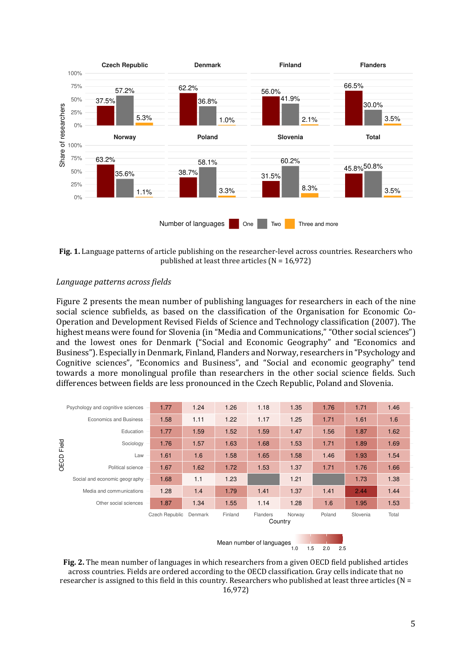

**Fig. 1.** Language patterns of article publishing on the researcher-level across countries. Researchers who published at least three articles ( $N = 16,972$ )

#### *Language patterns across fields*

Figure 2 presents the mean number of publishing languages for researchers in each of the nine social science subfields, as based on the classification of the Organisation for Economic Co-Operation and Development Revised Fields of Science and Technology classification (2007). The highest means were found for Slovenia (in "Media and Communications," "Other social sciences") and the lowest ones for Denmark ("Social and Economic Geography" and "Economics and Business"). Especially in Denmark, Finland, Flanders and Norway, researchers in "Psychology and Cognitive sciences", "Economics and Business", and "Social and economic geography" tend towards a more monolingual profile than researchers in the other social science fields. Such differences between fields are less pronounced in the Czech Republic, Poland and Slovenia.



**Fig. 2.** The mean number of languages in which researchers from a given OECD field published articles across countries. Fields are ordered according to the OECD classification. Gray cells indicate that no researcher is assigned to this field in this country. Researchers who published at least three articles (N = 16,972)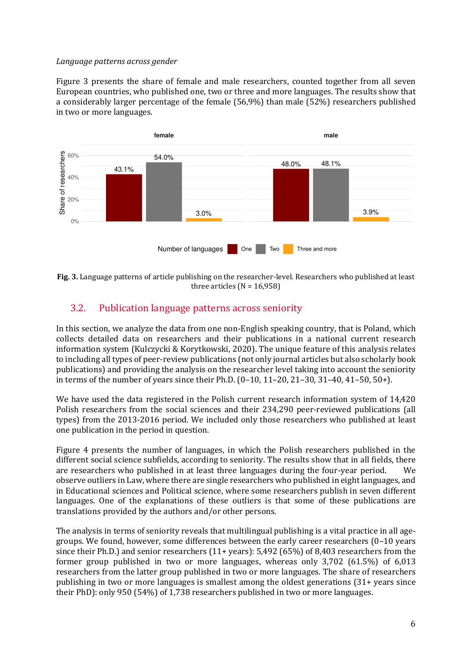#### *Language patterns across gender*

Figure 3 presents the share of female and male researchers, counted together from all seven European countries, who published one, two or three and more languages. The results show that a considerably larger percentage of the female (56,9%) than male (52%) researchers published in two or more languages.





## 3.2. Publication language patterns across seniority

In this section, we analyze the data from one non-English speaking country, that is Poland, which collects detailed data on researchers and their publications in a national current research information system (Kulczycki & Korytkowski, 2020). The unique feature of this analysis relates to including all types of peer-review publications (not only journal articles but also scholarly book publications) and providing the analysis on the researcher level taking into account the seniority in terms of the number of years since their Ph.D. (0–10, 11–20, 21–30, 31–40, 41–50, 50+).

We have used the data registered in the Polish current research information system of 14,420 Polish researchers from the social sciences and their 234,290 peer-reviewed publications (all types) from the 2013-2016 period. We included only those researchers who published at least one publication in the period in question.

Figure 4 presents the number of languages, in which the Polish researchers published in the different social science subfields, according to seniority. The results show that in all fields, there are researchers who published in at least three languages during the four-year period. We observe outliers in Law, where there are single researchers who published in eight languages, and in Educational sciences and Political science, where some researchers publish in seven different languages. One of the explanations of these outliers is that some of these publications are translations provided by the authors and/or other persons.

The analysis in terms of seniority reveals that multilingual publishing is a vital practice in all agegroups. We found, however, some differences between the early career researchers (0–10 years since their Ph.D.) and senior researchers (11+ years): 5,492 (65%) of 8,403 researchers from the former group published in two or more languages, whereas only 3,702 (61.5%) of 6,013 researchers from the latter group published in two or more languages. The share of researchers publishing in two or more languages is smallest among the oldest generations (31+ years since their PhD): only 950 (54%) of 1,738 researchers published in two or more languages.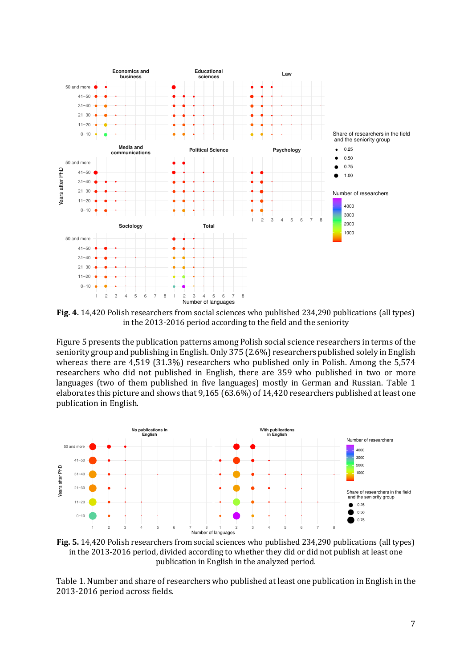

**Fig. 4.** 14,420 Polish researchers from social sciences who published 234,290 publications (all types) in the 2013-2016 period according to the field and the seniority

Figure 5 presents the publication patterns among Polish social science researchers in terms of the seniority group and publishing in English. Only 375 (2.6%) researchers published solely in English whereas there are 4,519 (31.3%) researchers who published only in Polish. Among the 5,574 researchers who did not published in English, there are 359 who published in two or more languages (two of them published in five languages) mostly in German and Russian. Table 1 elaborates this picture and shows that 9,165 (63.6%) of 14,420 researchers published at least one publication in English.



**Fig. 5.** 14,420 Polish researchers from social sciences who published 234,290 publications (all types) in the 2013-2016 period, divided according to whether they did or did not publish at least one publication in English in the analyzed period.

Table 1. Number and share of researchers who published at least one publication in English in the 2013-2016 period across fields.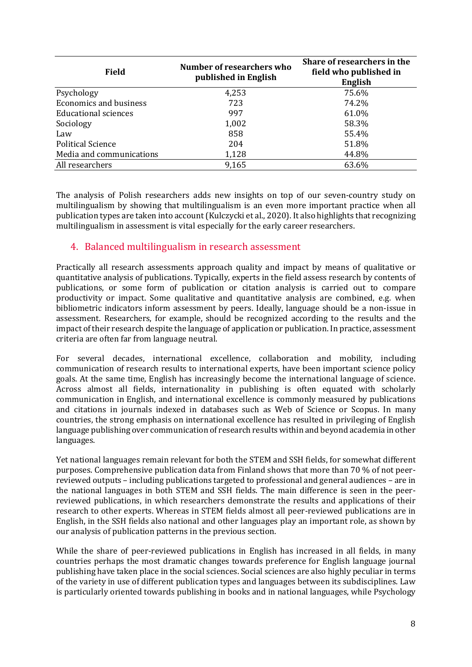| <b>Field</b>                  | Number of researchers who<br>published in English | Share of researchers in the<br>field who published in<br>English |
|-------------------------------|---------------------------------------------------|------------------------------------------------------------------|
| Psychology                    | 4,253                                             | 75.6%                                                            |
| <b>Economics and business</b> | 723                                               | 74.2%                                                            |
| <b>Educational sciences</b>   | 997                                               | 61.0%                                                            |
| Sociology                     | 1,002                                             | 58.3%                                                            |
| Law                           | 858                                               | 55.4%                                                            |
| <b>Political Science</b>      | 204                                               | 51.8%                                                            |
| Media and communications      | 1,128                                             | 44.8%                                                            |
| All researchers               | 9,165                                             | 63.6%                                                            |

The analysis of Polish researchers adds new insights on top of our seven-country study on multilingualism by showing that multilingualism is an even more important practice when all publication types are taken into account (Kulczycki et al., 2020). It also highlights that recognizing multilingualism in assessment is vital especially for the early career researchers.

## 4. Balanced multilingualism in research assessment

Practically all research assessments approach quality and impact by means of qualitative or quantitative analysis of publications. Typically, experts in the field assess research by contents of publications, or some form of publication or citation analysis is carried out to compare productivity or impact. Some qualitative and quantitative analysis are combined, e.g. when bibliometric indicators inform assessment by peers. Ideally, language should be a non-issue in assessment. Researchers, for example, should be recognized according to the results and the impact of their research despite the language of application or publication. In practice, assessment criteria are often far from language neutral.

For several decades, international excellence, collaboration and mobility, including communication of research results to international experts, have been important science policy goals. At the same time, English has increasingly become the international language of science. Across almost all fields, internationality in publishing is often equated with scholarly communication in English, and international excellence is commonly measured by publications and citations in journals indexed in databases such as Web of Science or Scopus. In many countries, the strong emphasis on international excellence has resulted in privileging of English language publishing over communication of research results within and beyond academia in other languages.

Yet national languages remain relevant for both the STEM and SSH fields, for somewhat different purposes. Comprehensive publication data from Finland shows that more than 70 % of not peerreviewed outputs – including publications targeted to professional and general audiences – are in the national languages in both STEM and SSH fields. The main difference is seen in the peerreviewed publications, in which researchers demonstrate the results and applications of their research to other experts. Whereas in STEM fields almost all peer-reviewed publications are in English, in the SSH fields also national and other languages play an important role, as shown by our analysis of publication patterns in the previous section.

While the share of peer-reviewed publications in English has increased in all fields, in many countries perhaps the most dramatic changes towards preference for English language journal publishing have taken place in the social sciences. Social sciences are also highly peculiar in terms of the variety in use of different publication types and languages between its subdisciplines. Law is particularly oriented towards publishing in books and in national languages, while Psychology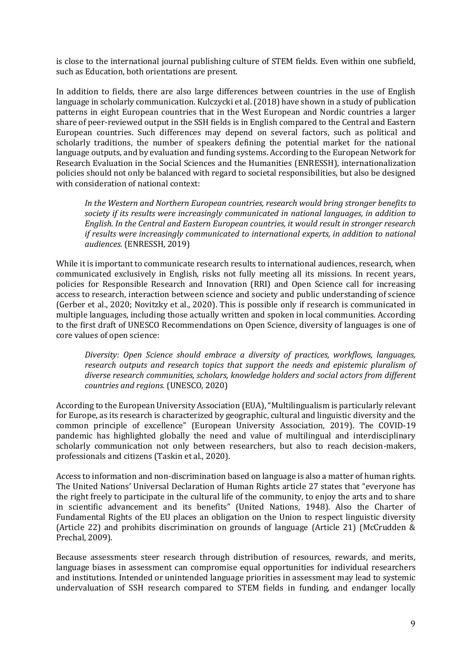is close to the international journal publishing culture of STEM fields. Even within one subfield, such as Education, both orientations are present.

In addition to fields, there are also large differences between countries in the use of English language in scholarly communication. Kulczycki et al. (2018) have shown in a study of publication patterns in eight European countries that in the West European and Nordic countries a larger share of peer-reviewed output in the SSH fields is in English compared to the Central and Eastern European countries. Such differences may depend on several factors, such as political and scholarly traditions, the number of speakers defining the potential market for the national language outputs, and by evaluation and funding systems. According to the European Network for Research Evaluation in the Social Sciences and the Humanities (ENRESSH), internationalization policies should not only be balanced with regard to societal responsibilities, but also be designed with consideration of national context:

*In the Western and Northern European countries, research would bring stronger benefits to society if its results were increasingly communicated in national languages, in addition to English. In the Central and Eastern European countries, it would result in stronger research if results were increasingly communicated to international experts, in addition to national audiences.* (ENRESSH, 2019)

While it is important to communicate research results to international audiences, research, when communicated exclusively in English, risks not fully meeting all its missions. In recent years, policies for Responsible Research and Innovation (RRI) and Open Science call for increasing access to research, interaction between science and society and public understanding of science (Gerber et al., 2020; Novitzky et al., 2020). This is possible only if research is communicated in multiple languages, including those actually written and spoken in local communities. According to the first draft of UNESCO Recommendations on Open Science, diversity of languages is one of core values of open science:

*Diversity: Open Science should embrace a diversity of practices, workflows, languages, research outputs and research topics that support the needs and epistemic pluralism of diverse research communities, scholars, knowledge holders and social actors from different countries and regions.* (UNESCO, 2020)

According to the European University Association (EUA), "Multilingualism is particularly relevant for Europe, as its research is characterized by geographic, cultural and linguistic diversity and the common principle of excellence" (European University Association, 2019). The COVID-19 pandemic has highlighted globally the need and value of multilingual and interdisciplinary scholarly communication not only between researchers, but also to reach decision-makers, professionals and citizens (Taskin et al., 2020).

Access to information and non-discrimination based on language is also a matter of human rights. The United Nations' Universal Declaration of Human Rights article 27 states that "everyone has the right freely to participate in the cultural life of the community, to enjoy the arts and to share in scientific advancement and its benefits" (United Nations, 1948). Also the Charter of Fundamental Rights of the EU places an obligation on the Union to respect linguistic diversity (Article 22) and prohibits discrimination on grounds of language (Article 21) (McCrudden & Prechal, 2009).

Because assessments steer research through distribution of resources, rewards, and merits, language biases in assessment can compromise equal opportunities for individual researchers and institutions. Intended or unintended language priorities in assessment may lead to systemic undervaluation of SSH research compared to STEM fields in funding, and endanger locally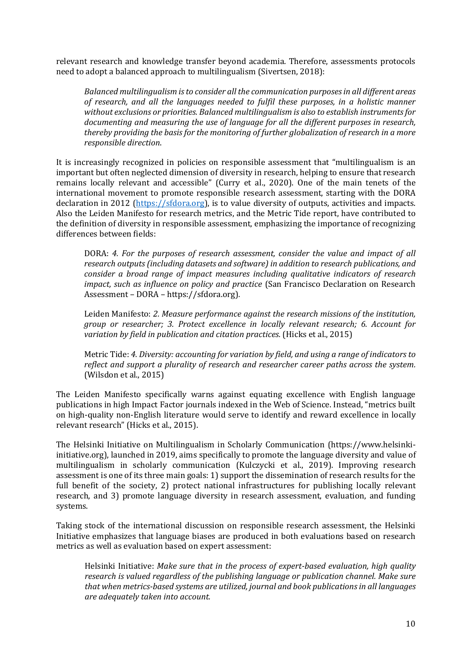relevant research and knowledge transfer beyond academia. Therefore, assessments protocols need to adopt a balanced approach to multilingualism (Sivertsen, 2018):

*Balanced multilingualism is to consider all the communication purposes in all different areas of research, and all the languages needed to fulfil these purposes, in a holistic manner without exclusions or priorities. Balanced multilingualism is also to establish instruments for documenting and measuring the use of language for all the different purposes in research, thereby providing the basis for the monitoring of further globalization of research in a more responsible direction*.

It is increasingly recognized in policies on responsible assessment that "multilingualism is an important but often neglected dimension of diversity in research, helping to ensure that research remains locally relevant and accessible" (Curry et al., 2020). One of the main tenets of the international movement to promote responsible research assessment, starting with the DORA declaration in 2012 [\(https://sfdora.org\)](https://sfdora.org/), is to value diversity of outputs, activities and impacts. Also the Leiden Manifesto for research metrics, and the Metric Tide report, have contributed to the definition of diversity in responsible assessment, emphasizing the importance of recognizing differences between fields:

DORA: *4. For the purposes of research assessment, consider the value and impact of all research outputs (including datasets and software) in addition to research publications, and consider a broad range of impact measures including qualitative indicators of research impact, such as influence on policy and practice* (San Francisco Declaration on Research Assessment – DORA – https://sfdora.org)*.*

Leiden Manifesto: *2. Measure performance against the research missions of the institution, group or researcher; 3. Protect excellence in locally relevant research; 6. Account for variation by field in publication and citation practices.* (Hicks et al., 2015)

Metric Tide: *4. Diversity: accounting for variation by field, and using a range of indicators to reflect and support a plurality of research and researcher career paths across the system.*  (Wilsdon et al., 2015)

The Leiden Manifesto specifically warns against equating excellence with English language publications in high Impact Factor journals indexed in the Web of Science. Instead, "metrics built on high-quality non-English literature would serve to identify and reward excellence in locally relevant research" (Hicks et al., 2015).

The Helsinki Initiative on Multilingualism in Scholarly Communication (https://www.helsinkiinitiative.org), launched in 2019, aims specifically to promote the language diversity and value of multilingualism in scholarly communication (Kulczycki et al., 2019). Improving research assessment is one of its three main goals: 1) support the dissemination of research results for the full benefit of the society, 2) protect national infrastructures for publishing locally relevant research, and 3) promote language diversity in research assessment, evaluation, and funding systems.

Taking stock of the international discussion on responsible research assessment, the Helsinki Initiative emphasizes that language biases are produced in both evaluations based on research metrics as well as evaluation based on expert assessment:

Helsinki Initiative: *Make sure that in the process of expert-based evaluation, high quality research is valued regardless of the publishing language or publication channel. Make sure that when metrics-based systems are utilized, journal and book publications in all languages are adequately taken into account.*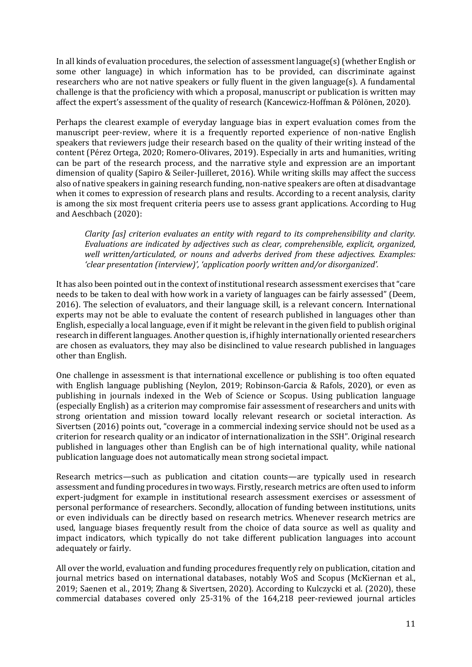In all kinds of evaluation procedures, the selection of assessment language(s) (whether English or some other language) in which information has to be provided, can discriminate against researchers who are not native speakers or fully fluent in the given language(s). A fundamental challenge is that the proficiency with which a proposal, manuscript or publication is written may affect the expert's assessment of the quality of research (Kancewicz-Hoffman & Pölönen, 2020).

Perhaps the clearest example of everyday language bias in expert evaluation comes from the manuscript peer-review, where it is a frequently reported experience of non-native English speakers that reviewers judge their research based on the quality of their writing instead of the content (Pérez Ortega, 2020; Romero-Olivares, 2019). Especially in arts and humanities, writing can be part of the research process, and the narrative style and expression are an important dimension of quality (Sapiro & Seiler-Juilleret, 2016). While writing skills may affect the success also of native speakers in gaining research funding, non-native speakers are often at disadvantage when it comes to expression of research plans and results. According to a recent analysis, clarity is among the six most frequent criteria peers use to assess grant applications. According to Hug and Aeschbach (2020):

*Clarity [as] criterion evaluates an entity with regard to its comprehensibility and clarity. Evaluations are indicated by adjectives such as clear, comprehensible, explicit, organized, well written/articulated, or nouns and adverbs derived from these adjectives. Examples: 'clear presentation (interview)', 'application poorly written and/or disorganized'.*

It has also been pointed out in the context of institutional research assessment exercises that "care needs to be taken to deal with how work in a variety of languages can be fairly assessed" (Deem, 2016). The selection of evaluators, and their language skill, is a relevant concern. International experts may not be able to evaluate the content of research published in languages other than English, especially a local language, even if it might be relevant in the given field to publish original research in different languages. Another question is, if highly internationally oriented researchers are chosen as evaluators, they may also be disinclined to value research published in languages other than English.

One challenge in assessment is that international excellence or publishing is too often equated with English language publishing (Neylon, 2019; Robinson-Garcia & Rafols, 2020), or even as publishing in journals indexed in the Web of Science or Scopus. Using publication language (especially English) as a criterion may compromise fair assessment of researchers and units with strong orientation and mission toward locally relevant research or societal interaction. As Sivertsen (2016) points out, "coverage in a commercial indexing service should not be used as a criterion for research quality or an indicator of internationalization in the SSH". Original research published in languages other than English can be of high international quality, while national publication language does not automatically mean strong societal impact.

Research metrics—such as publication and citation counts—are typically used in research assessment and funding procedures in two ways. Firstly, research metrics are often used to inform expert-judgment for example in institutional research assessment exercises or assessment of personal performance of researchers. Secondly, allocation of funding between institutions, units or even individuals can be directly based on research metrics. Whenever research metrics are used, language biases frequently result from the choice of data source as well as quality and impact indicators, which typically do not take different publication languages into account adequately or fairly.

All over the world, evaluation and funding procedures frequently rely on publication, citation and journal metrics based on international databases, notably WoS and Scopus (McKiernan et al., 2019; Saenen et al., 2019; Zhang & Sivertsen, 2020). According to Kulczycki et al. (2020), these commercial databases covered only 25-31% of the 164,218 peer-reviewed journal articles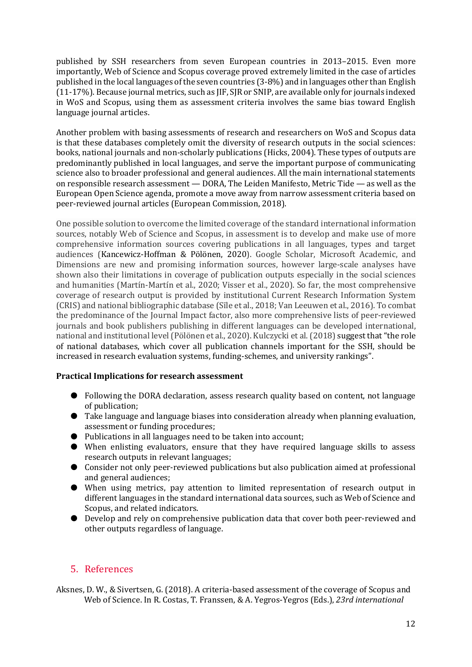published by SSH researchers from seven European countries in 2013–2015. Even more importantly, Web of Science and Scopus coverage proved extremely limited in the case of articles published in the local languages of the seven countries (3-8%) and in languages other than English (11-17%). Because journal metrics, such as JIF, SJR or SNIP, are available only for journals indexed in WoS and Scopus, using them as assessment criteria involves the same bias toward English language journal articles.

Another problem with basing assessments of research and researchers on WoS and Scopus data is that these databases completely omit the diversity of research outputs in the social sciences: books, national journals and non-scholarly publications (Hicks, 2004). These types of outputs are predominantly published in local languages, and serve the important purpose of communicating science also to broader professional and general audiences. All the main international statements on responsible research assessment — DORA, The Leiden Manifesto, Metric Tide — as well as the European Open Science agenda, promote a move away from narrow assessment criteria based on peer-reviewed journal articles (European Commission, 2018).

One possible solution to overcome the limited coverage of the standard international information sources, notably Web of Science and Scopus, in assessment is to develop and make use of more comprehensive information sources covering publications in all languages, types and target audiences (Kancewicz-Hoffman & Pölönen, 2020). Google Scholar, Microsoft Academic, and Dimensions are new and promising information sources, however large-scale analyses have shown also their limitations in coverage of publication outputs especially in the social sciences and humanities (Martín-Martín et al., 2020; Visser et al., 2020). So far, the most comprehensive coverage of research output is provided by institutional Current Research Information System (CRIS) and national bibliographic database (Sīle et al., 2018; Van Leeuwen et al., 2016). To combat the predominance of the Journal Impact factor, also more comprehensive lists of peer-reviewed journals and book publishers publishing in different languages can be developed international, national and institutional level (Pölönen et al., 2020). Kulczycki et al. (2018) suggest that "the role of national databases, which cover all publication channels important for the SSH, should be increased in research evaluation systems, funding-schemes, and university rankings".

#### **Practical Implications for research assessment**

- Following the DORA declaration, assess research quality based on content, not language of publication;
- Take language and language biases into consideration already when planning evaluation, assessment or funding procedures;
- Publications in all languages need to be taken into account;
- When enlisting evaluators, ensure that they have required language skills to assess research outputs in relevant languages;
- Consider not only peer-reviewed publications but also publication aimed at professional and general audiences;
- When using metrics, pay attention to limited representation of research output in different languages in the standard international data sources, such as Web of Science and Scopus, and related indicators.
- Develop and rely on comprehensive publication data that cover both peer-reviewed and other outputs regardless of language.

## 5. References

Aksnes, D. W., & Sivertsen, G. (2018). A criteria-based assessment of the coverage of Scopus and Web of Science. In R. Costas, T. Franssen, & A. Yegros-Yegros (Eds.), *23rd international*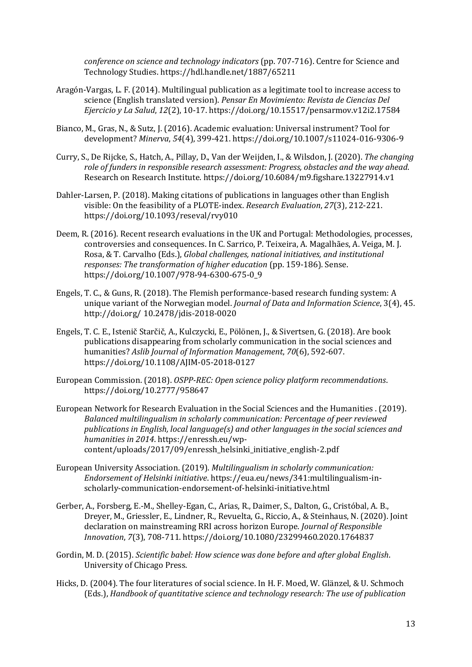*conference on science and technology indicators* (pp. 707-716). Centre for Science and Technology Studies. https://hdl.handle.net/1887/65211

- Aragón-Vargas, L. F. (2014). Multilingual publication as a legitimate tool to increase access to science (English translated version). *Pensar En Movimiento: Revista de Ciencias Del Ejercicio y La Salud*, *12*(2), 10-17. https://doi.org/10.15517/pensarmov.v12i2.17584
- Bianco, M., Gras, N., & Sutz, J. (2016). Academic evaluation: Universal instrument? Tool for development? *Minerva*, *54*(4), 399-421. https://doi.org/10.1007/s11024-016-9306-9
- Curry, S., De Rijcke, S., Hatch, A., Pillay, D., Van der Weijden, I., & Wilsdon, J. (2020). *The changing role of funders in responsible research assessment: Progress, obstacles and the way ahead*. Research on Research Institute. https://doi.org/10.6084/m9.figshare.13227914.v1
- Dahler-Larsen, P. (2018). Making citations of publications in languages other than English visible: On the feasibility of a PLOTE-index. *Research Evaluation*, *27*(3), 212-221. https://doi.org/10.1093/reseval/rvy010
- Deem, R. (2016). Recent research evaluations in the UK and Portugal: Methodologies, processes, controversies and consequences. In C. Sarrico, P. Teixeira, A. Magalhães, A. Veiga, M. J. Rosa, & T. Carvalho (Eds.), *Global challenges, national initiatives, and institutional responses: The transformation of higher education* (pp. 159-186). Sense. https://doi.org/10.1007/978-94-6300-675-0\_9
- Engels, T. C., & Guns, R. (2018). The Flemish performance-based research funding system: A unique variant of the Norwegian model. *Journal of Data and Information Science*, 3(4), 45. http://doi.org/ 10.2478/jdis-2018-0020
- Engels, T. C. E., Istenič Starčič, A., Kulczycki, E., Pölönen, J., & Sivertsen, G. (2018). Are book publications disappearing from scholarly communication in the social sciences and humanities? *Aslib Journal of Information Management*, *70*(6), 592-607. https://doi.org/10.1108/AJIM-05-2018-0127
- European Commission. (2018). *OSPP-REC: Open science policy platform recommendations*. https://doi.org/10.2777/958647
- European Network for Research Evaluation in the Social Sciences and the Humanities . (2019). *Balanced multilingualism in scholarly communication: Percentage of peer reviewed publications in English, local language(s) and other languages in the social sciences and humanities in 2014*. https://enressh.eu/wpcontent/uploads/2017/09/enressh\_helsinki\_initiative\_english-2.pdf
- European University Association. (2019). *Multilingualism in scholarly communication: Endorsement of Helsinki initiative*. https://eua.eu/news/341:multilingualism-inscholarly-communication-endorsement-of-helsinki-initiative.html
- Gerber, A., Forsberg, E.-M., Shelley-Egan, C., Arias, R., Daimer, S., Dalton, G., Cristóbal, A. B., Dreyer, M., Griessler, E., Lindner, R., Revuelta, G., Riccio, A., & Steinhaus, N. (2020). Joint declaration on mainstreaming RRI across horizon Europe. *Journal of Responsible Innovation*, *7*(3), 708-711. https://doi.org/10.1080/23299460.2020.1764837
- Gordin, M. D. (2015). *Scientific babel: How science was done before and after global English*. University of Chicago Press.
- Hicks, D. (2004). The four literatures of social science. In H. F. Moed, W. Glänzel, & U. Schmoch (Eds.), *Handbook of quantitative science and technology research: The use of publication*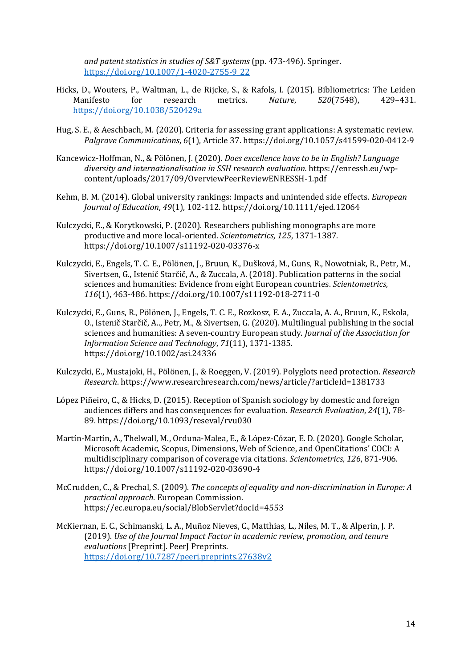*and patent statistics in studies of S&T systems* (pp. 473-496). Springer. [https://doi.org/10.1007/1-4020-2755-9\\_22](https://doi.org/10.1007/1-4020-2755-9_22)

- Hicks, D., Wouters, P., Waltman, L., de Rijcke, S., & Rafols, I. (2015). Bibliometrics: The Leiden<br>Manifesto for research metrics. *Nature*, 520(7548), 429-431. Manifesto for research metrics. *Nature*, *520*(7548), 429–431. <https://doi.org/10.1038/520429a>
- Hug, S. E., & Aeschbach, M. (2020). Criteria for assessing grant applications: A systematic review. *Palgrave Communications*, *6*(1), Article 37. https://doi.org/10.1057/s41599-020-0412-9
- Kancewicz-Hoffman, N., & Pölönen, J. (2020). *Does excellence have to be in English? Language diversity and internationalisation in SSH research evaluation.* https://enressh.eu/wpcontent/uploads/2017/09/OverviewPeerReviewENRESSH-1.pdf
- Kehm, B. M. (2014). Global university rankings: Impacts and unintended side effects. *European Journal of Education*, *49*(1), 102-112. https://doi.org/10.1111/ejed.12064
- Kulczycki, E., & Korytkowski, P. (2020). Researchers publishing monographs are more productive and more local-oriented. *Scientometrics*, *125*, 1371-1387. https://doi.org/10.1007/s11192-020-03376-x
- Kulczycki, E., Engels, T. C. E., Pölönen, J., Bruun, K., Dušková, M., Guns, R., Nowotniak, R., Petr, M., Sivertsen, G., Istenič Starčič, A., & Zuccala, A. (2018). Publication patterns in the social sciences and humanities: Evidence from eight European countries. *Scientometrics*, *116*(1), 463-486. https://doi.org/10.1007/s11192-018-2711-0
- Kulczycki, E., Guns, R., Pölönen, J., Engels, T. C. E., Rozkosz, E. A., Zuccala, A. A., Bruun, K., Eskola, O., Istenič Starčič, A.., Petr, M., & Sivertsen, G. (2020). Multilingual publishing in the social sciences and humanities: A seven‐country European study. *Journal of the Association for Information Science and Technology*, *71*(11), 1371-1385. https://doi.org/10.1002/asi.24336
- Kulczycki, E., Mustajoki, H., Pölönen, J., & Roeggen, V. (2019). Polyglots need protection. *Research Research*. https://www.researchresearch.com/news/article/?articleId=1381733
- López Piñeiro, C., & Hicks, D. (2015). Reception of Spanish sociology by domestic and foreign audiences differs and has consequences for evaluation. *Research Evaluation*, *24*(1), 78- 89. https://doi.org/10.1093/reseval/rvu030
- Martín-Martín, A., Thelwall, M., Orduna-Malea, E., & López-Cózar, E. D. (2020). Google Scholar, Microsoft Academic, Scopus, Dimensions, Web of Science, and OpenCitations' COCI: A multidisciplinary comparison of coverage via citations. *Scientometrics, 126*, 871-906. https://doi.org/10.1007/s11192-020-03690-4
- McCrudden, C., & Prechal, S. (2009). *The concepts of equality and non-discrimination in Europe: A practical approach*. European Commission. https://ec.europa.eu/social/BlobServlet?docId=4553
- McKiernan, E. C., Schimanski, L. A., Muñoz Nieves, C., Matthias, L., Niles, M. T., & Alperin, J. P. (2019). *Use of the Journal Impact Factor in academic review, promotion, and tenure evaluations* [Preprint]. PeerJ Preprints. <https://doi.org/10.7287/peerj.preprints.27638v2>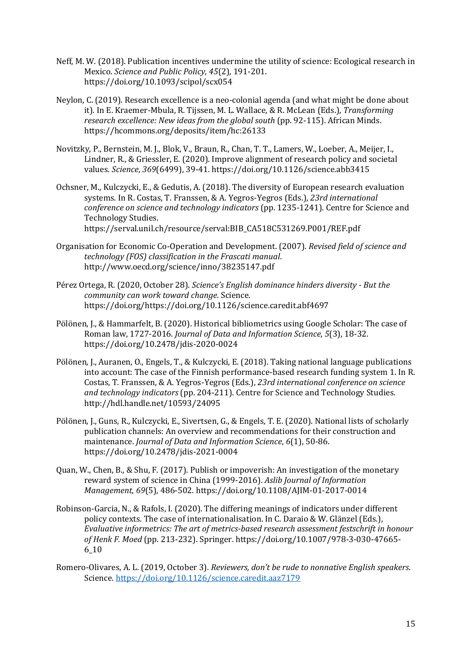- Neff, M. W. (2018). Publication incentives undermine the utility of science: Ecological research in Mexico. *Science and Public Policy*, *45*(2), 191-201. https://doi.org/10.1093/scipol/scx054
- Neylon, C. (2019). Research excellence is a neo-colonial agenda (and what might be done about it). In E. Kraemer-Mbula, R. Tijssen, M. L. Wallace, & R. McLean (Eds.), *Transforming research excellence: New ideas from the global south* (pp. 92-115). African Minds. https://hcommons.org/deposits/item/hc:26133
- Novitzky, P., Bernstein, M. J., Blok, V., Braun, R., Chan, T. T., Lamers, W., Loeber, A., Meijer, I., Lindner, R., & Griessler, E. (2020). Improve alignment of research policy and societal values. *Science*, *369*(6499), 39-41. https://doi.org/10.1126/science.abb3415
- Ochsner, M., Kulczycki, E., & Gedutis, A. (2018). The diversity of European research evaluation systems. In R. Costas, T. Franssen, & A. Yegros-Yegros (Eds.), *23rd international conference on science and technology indicators* (pp. 1235-1241). Centre for Science and Technology Studies.

https://serval.unil.ch/resource/serval:BIB\_CA518C531269.P001/REF.pdf

- Organisation for Economic Co-Operation and Development. (2007). *Revised field of science and technology (FOS) classification in the Frascati manual*. http://www.oecd.org/science/inno/38235147.pdf
- Pérez Ortega, R. (2020, October 28). *Science's English dominance hinders diversity But the community can work toward change*. Science. https://doi.org/https://doi.org/10.1126/science.caredit.abf4697
- Pölönen, J., & Hammarfelt, B. (2020). Historical bibliometrics using Google Scholar: The case of Roman law, 1727-2016. *Journal of Data and Information Science*, *5*(3), 18-32. https://doi.org/10.2478/jdis-2020-0024
- Pölönen, J., Auranen, O., Engels, T., & Kulczycki, E. (2018). Taking national language publications into account: The case of the Finnish performance-based research funding system 1. In R. Costas, T. Franssen, & A. Yegros-Yegros (Eds.), *23rd international conference on science and technology indicators* (pp. 204-211). Centre for Science and Technology Studies. http://hdl.handle.net/10593/24095
- Pölönen, J., Guns, R., Kulczycki, E., Sivertsen, G., & Engels, T. E. (2020). National lists of scholarly publication channels: An overview and recommendations for their construction and maintenance. *Journal of Data and Information Science*, *6*(1), 50-86. https://doi.org/10.2478/jdis-2021-0004
- Quan, W., Chen, B., & Shu, F. (2017). Publish or impoverish: An investigation of the monetary reward system of science in China (1999-2016). *Aslib Journal of Information Management*, *69*(5), 486-502. https://doi.org/10.1108/AJIM-01-2017-0014
- Robinson-Garcia, N., & Rafols, I. (2020). The differing meanings of indicators under different policy contexts. The case of internationalisation. In C. Daraio & W. Glänzel (Eds.), *Evaluative informetrics: The art of metrics-based research assessment festschrift in honour of Henk F. Moed* (pp. 213-232). Springer. https://doi.org/10.1007/978-3-030-47665- 6\_10
- Romero-Olivares, A. L. (2019, October 3). *Reviewers, don't be rude to nonnative English speakers*. Science.<https://doi.org/10.1126/science.caredit.aaz7179>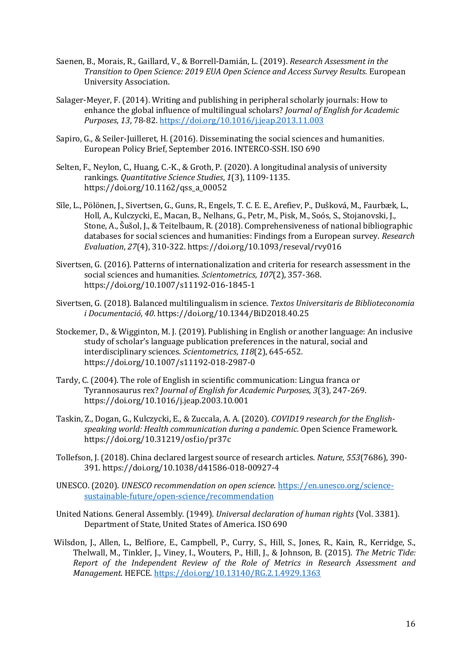- Saenen, B., Morais, R., Gaillard, V., & Borrell-Damián, L. (2019). *Research Assessment in the Transition to Open Science: 2019 EUA Open Science and Access Survey Results*. European University Association.
- Salager-Meyer, F. (2014). Writing and publishing in peripheral scholarly journals: How to enhance the global influence of multilingual scholars? *Journal of English for Academic Purposes*, *13*, 78-82.<https://doi.org/10.1016/j.jeap.2013.11.003>
- Sapiro, G., & Seiler-Juilleret, H. (2016). Disseminating the social sciences and humanities. European Policy Brief, September 2016. INTERCO-SSH. ISO 690
- Selten, F., Neylon, C., Huang, C.-K., & Groth, P. (2020). A longitudinal analysis of university rankings. *Quantitative Science Studies*, *1*(3), 1109-1135. https://doi.org/10.1162/qss\_a\_00052
- Sīle, L., Pölönen, J., Sivertsen, G., Guns, R., Engels, T. C. E. E., Arefiev, P., Dušková, M., Faurbæk, L., Holl, A., Kulczycki, E., Macan, B., Nelhans, G., Petr, M., Pisk, M., Soós, S., Stojanovski, J., Stone, A., Šušol, J., & Teitelbaum, R. (2018). Comprehensiveness of national bibliographic databases for social sciences and humanities: Findings from a European survey. *Research Evaluation*, *27*(4), 310-322. https://doi.org/10.1093/reseval/rvy016
- Sivertsen, G. (2016). Patterns of internationalization and criteria for research assessment in the social sciences and humanities. *Scientometrics*, *107*(2), 357-368. https://doi.org/10.1007/s11192-016-1845-1
- Sivertsen, G. (2018). Balanced multilingualism in science. *Textos Universitaris de Biblioteconomia i Documentació*, *40*. https://doi.org/10.1344/BiD2018.40.25
- Stockemer, D., & Wigginton, M. J. (2019). Publishing in English or another language: An inclusive study of scholar's language publication preferences in the natural, social and interdisciplinary sciences. *Scientometrics*, *118*(2), 645-652. https://doi.org/10.1007/s11192-018-2987-0
- Tardy, C. (2004). The role of English in scientific communication: Lingua franca or Tyrannosaurus rex? *Journal of English for Academic Purposes*, *3*(3), 247-269. https://doi.org/10.1016/j.jeap.2003.10.001
- Taskin, Z., Dogan, G., Kulczycki, E., & Zuccala, A. A. (2020). *COVID19 research for the Englishspeaking world: Health communication during a pandemic.* Open Science Framework. https://doi.org/10.31219/osf.io/pr37c
- Tollefson, J. (2018). China declared largest source of research articles. *Nature*, *553*(7686), 390- 391. https://doi.org/10.1038/d41586-018-00927-4
- UNESCO. (2020). *UNESCO recommendation on open science*[. https://en.unesco.org/science](https://en.unesco.org/science-sustainable-future/open-science/recommendation)[sustainable-future/open-science/recommendation](https://en.unesco.org/science-sustainable-future/open-science/recommendation)
- United Nations. General Assembly. (1949). *Universal declaration of human rights* (Vol. 3381). Department of State, United States of America. ISO 690
- Wilsdon, J., Allen, L., Belfiore, E., Campbell, P., Curry, S., Hill, S., Jones, R., Kain, R., Kerridge, S., Thelwall, M., Tinkler, J., Viney, I., Wouters, P., Hill, J., & Johnson, B. (2015). *The Metric Tide: Report of the Independent Review of the Role of Metrics in Research Assessment and Management*. HEFCE.<https://doi.org/10.13140/RG.2.1.4929.1363>